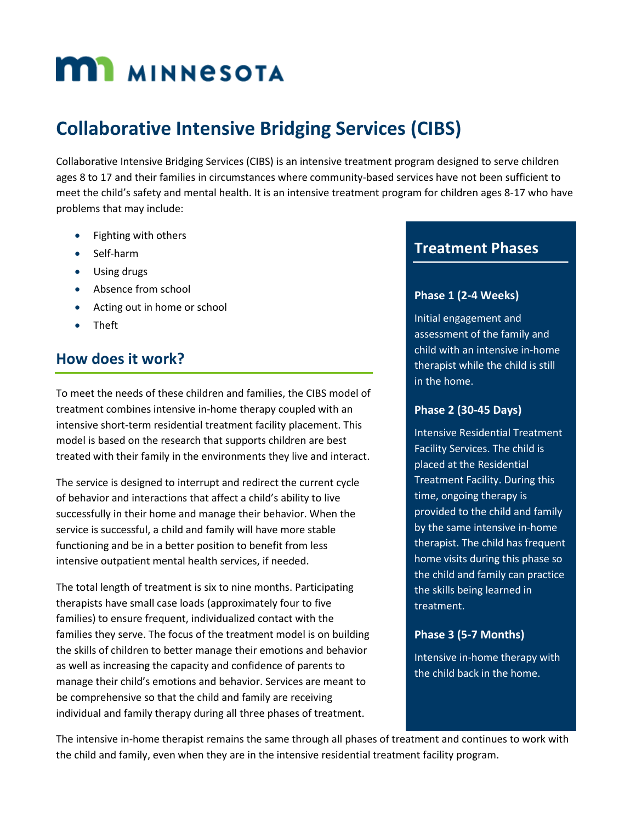# **MI MINNESOTA**

## **Collaborative Intensive Bridging Services (CIBS)**

Collaborative Intensive Bridging Services (CIBS) is an intensive treatment program designed to serve children ages 8 to 17 and their families in circumstances where community-based services have not been sufficient to meet the child's safety and mental health. It is an intensive treatment program for children ages 8-17 who have problems that may include:

- Fighting with others
- Self-harm
- Using drugs
- Absence from school
- Acting out in home or school
- Theft

## **How does it work?**

To meet the needs of these children and families, the CIBS model of treatment combines intensive in-home therapy coupled with an intensive short-term residential treatment facility placement. This model is based on the research that supports children are best treated with their family in the environments they live and interact.

The service is designed to interrupt and redirect the current cycle of behavior and interactions that affect a child's ability to live successfully in their home and manage their behavior. When the service is successful, a child and family will have more stable functioning and be in a better position to benefit from less intensive outpatient mental health services, if needed.

The total length of treatment is six to nine months. Participating therapists have small case loads (approximately four to five families) to ensure frequent, individualized contact with the families they serve. The focus of the treatment model is on building the skills of children to better manage their emotions and behavior as well as increasing the capacity and confidence of parents to manage their child's emotions and behavior. Services are meant to be comprehensive so that the child and family are receiving individual and family therapy during all three phases of treatment.

### **Treatment Phases**

**Three Treatment Phases:** 

#### **Phase 1 (2-4 Weeks)**

Initial engagement and assessment of the family and child with an intensive in-home therapist while the child is still in the home.

#### **Phase 2 (30-45 Days)**

Intensive Residential Treatment Facility Services. The child is placed at the Residential Treatment Facility. During this time, ongoing therapy is provided to the child and family by the same intensive in-home therapist. The child has frequent home visits during this phase so the child and family can practice the skills being learned in treatment.

#### **Phase 3 (5-7 Months)**

Intensive in-home therapy with the child back in the home.

The intensive in-home therapist remains the same through all phases of treatment and continues to work with the child and family, even when they are in the intensive residential treatment facility program.